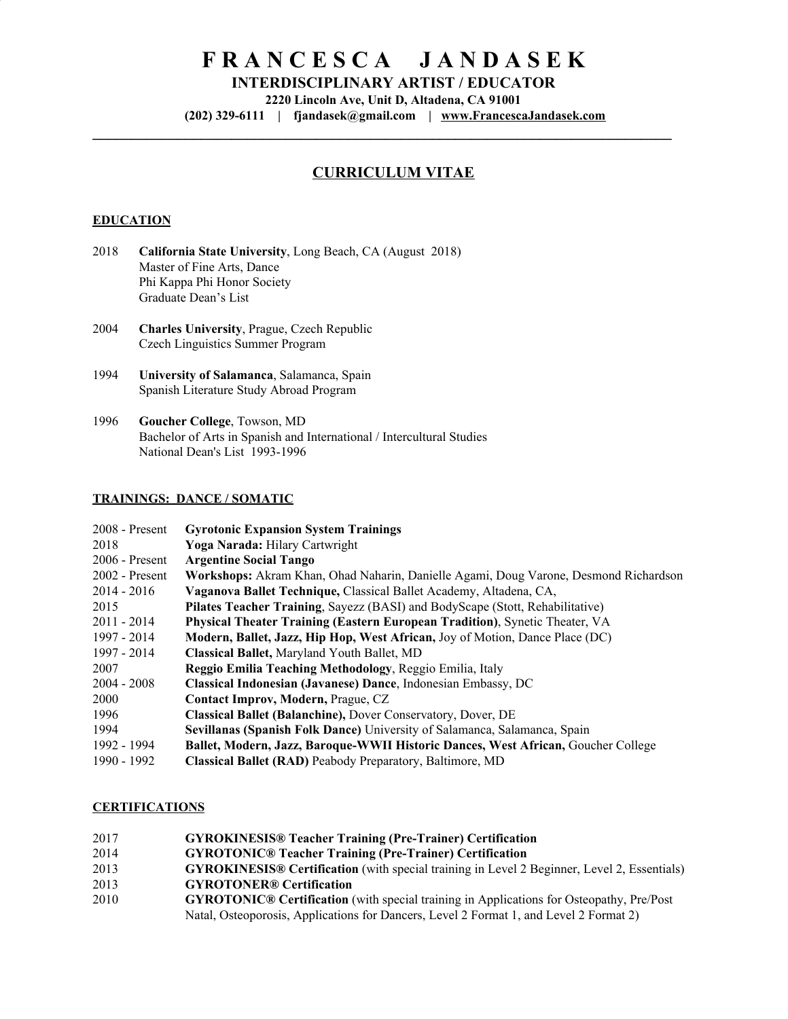# **F R A N C E S C A J A N D A S E K**

**INTERDISCIPLINARY ARTIST / EDUCATOR**

**Lincoln Ave, Unit D, Altadena, CA 91001**

**(202) 329-6111 | [fjandasek@gmail.com](mailto:fjandasek@gmail.com) | [www.FrancescaJandasek.com](http://www.francescajandasek.com/)**

**\_\_\_\_\_\_\_\_\_\_\_\_\_\_\_\_\_\_\_\_\_\_\_\_\_\_\_\_\_\_\_\_\_\_\_\_\_\_\_\_\_\_\_\_\_\_\_\_\_\_\_\_\_\_\_\_\_\_\_\_\_\_\_\_\_\_\_\_\_\_\_\_\_\_\_**

# **CURRICULUM VITAE**

#### **EDUCATION**

- **California State University**, Long Beach, CA (August 2018) Master of Fine Arts, Dance Phi Kappa Phi Honor Society Graduate Dean's List
- **Charles University**, Prague, Czech Republic Czech Linguistics Summer Program
- **University of Salamanca**, Salamanca, Spain Spanish Literature Study Abroad Program
- **Goucher College**, Towson, MD Bachelor of Arts in Spanish and International / Intercultural Studies National Dean's List 1993-1996

#### **TRAININGS: DANCE / SOMATIC**

| $2008$ - Present | <b>Gyrotonic Expansion System Trainings</b>                                          |
|------------------|--------------------------------------------------------------------------------------|
| 2018             | <b>Yoga Narada: Hilary Cartwright</b>                                                |
| $2006$ - Present | <b>Argentine Social Tango</b>                                                        |
| $2002$ - Present | Workshops: Akram Khan, Ohad Naharin, Danielle Agami, Doug Varone, Desmond Richardson |
| $2014 - 2016$    | Vaganova Ballet Technique, Classical Ballet Academy, Altadena, CA,                   |
| 2015             | Pilates Teacher Training, Sayezz (BASI) and BodyScape (Stott, Rehabilitative)        |
| $2011 - 2014$    | Physical Theater Training (Eastern European Tradition), Synetic Theater, VA          |
| 1997 - 2014      | Modern, Ballet, Jazz, Hip Hop, West African, Joy of Motion, Dance Place (DC)         |
| 1997 - 2014      | Classical Ballet, Maryland Youth Ballet, MD                                          |
| 2007             | Reggio Emilia Teaching Methodology, Reggio Emilia, Italy                             |
| $2004 - 2008$    | Classical Indonesian (Javanese) Dance, Indonesian Embassy, DC                        |
| 2000             | Contact Improv, Modern, Prague, CZ                                                   |
| 1996             | <b>Classical Ballet (Balanchine), Dover Conservatory, Dover, DE</b>                  |
| 1994             | Sevillanas (Spanish Folk Dance) University of Salamanca, Salamanca, Spain            |
| 1992 - 1994      | Ballet, Modern, Jazz, Baroque-WWII Historic Dances, West African, Goucher College    |
| 1990 - 1992      | <b>Classical Ballet (RAD)</b> Peabody Preparatory, Baltimore, MD                     |

#### **CERTIFICATIONS**

- **GYROKINESIS® Teacher Training (Pre-Trainer) Certification**
- **GYROTONIC® Teacher Training (Pre-Trainer) Certification**
- **GYROKINESIS® Certification** (with special training in Level 2 Beginner, Level 2, Essentials)
- **GYROTONER® Certification**
- **GYROTONIC® Certification** (with special training in Applications for Osteopathy, Pre/Post Natal, Osteoporosis, Applications for Dancers, Level 2 Format 1, and Level 2 Format 2)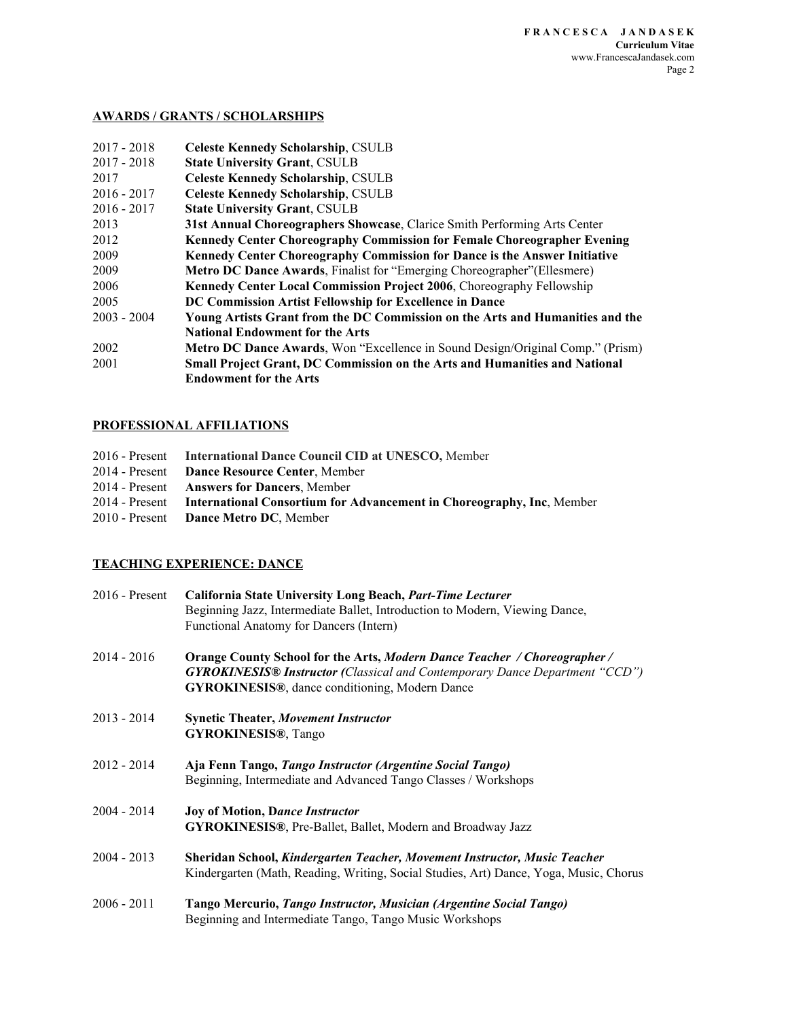#### **AWARDS / GRANTS / SCHOLARSHIPS**

| $2017 - 2018$ | <b>Celeste Kennedy Scholarship, CSULB</b>                                             |
|---------------|---------------------------------------------------------------------------------------|
| $2017 - 2018$ | <b>State University Grant, CSULB</b>                                                  |
| 2017          | <b>Celeste Kennedy Scholarship, CSULB</b>                                             |
| $2016 - 2017$ | <b>Celeste Kennedy Scholarship, CSULB</b>                                             |
| $2016 - 2017$ | <b>State University Grant, CSULB</b>                                                  |
| 2013          | 31st Annual Choreographers Showcase, Clarice Smith Performing Arts Center             |
| 2012          | <b>Kennedy Center Choreography Commission for Female Choreographer Evening</b>        |
| 2009          | Kennedy Center Choreography Commission for Dance is the Answer Initiative             |
| 2009          | <b>Metro DC Dance Awards, Finalist for "Emerging Choreographer" (Ellesmere)</b>       |
| 2006          | <b>Kennedy Center Local Commission Project 2006, Choreography Fellowship</b>          |
| 2005          | DC Commission Artist Fellowship for Excellence in Dance                               |
| $2003 - 2004$ | Young Artists Grant from the DC Commission on the Arts and Humanities and the         |
|               | <b>National Endowment for the Arts</b>                                                |
| 2002          | <b>Metro DC Dance Awards, Won "Excellence in Sound Design/Original Comp." (Prism)</b> |
| 2001          | <b>Small Project Grant, DC Commission on the Arts and Humanities and National</b>     |
|               | <b>Endowment for the Arts</b>                                                         |

# **PROFESSIONAL AFFILIATIONS**

| 2016 - Present International Dance Council CID at UNESCO, Member                     |
|--------------------------------------------------------------------------------------|
| 2014 - Present Dance Resource Center, Member                                         |
| 2014 - Present Answers for Dancers, Member                                           |
| 2014 - Present International Consortium for Advancement in Choreography, Inc. Member |
| 2010 - Present Dance Metro DC, Member                                                |

## **TEACHING EXPERIENCE: DANCE**

| $2016$ - Present | California State University Long Beach, Part-Time Lecturer                                                                  |
|------------------|-----------------------------------------------------------------------------------------------------------------------------|
|                  | Beginning Jazz, Intermediate Ballet, Introduction to Modern, Viewing Dance,                                                 |
|                  | Functional Anatomy for Dancers (Intern)                                                                                     |
| $2014 - 2016$    | Orange County School for the Arts, Modern Dance Teacher / Choreographer /                                                   |
|                  | <b>GYROKINESIS® Instructor (Classical and Contemporary Dance Department "CCD")</b>                                          |
|                  | <b>GYROKINESIS®</b> , dance conditioning, Modern Dance                                                                      |
| $2013 - 2014$    | <b>Synetic Theater, Movement Instructor</b>                                                                                 |
|                  | <b>GYROKINESIS®, Tango</b>                                                                                                  |
| $2012 - 2014$    |                                                                                                                             |
|                  | Aja Fenn Tango, Tango Instructor (Argentine Social Tango)<br>Beginning, Intermediate and Advanced Tango Classes / Workshops |
|                  |                                                                                                                             |
| $2004 - 2014$    | <b>Joy of Motion, Dance Instructor</b>                                                                                      |
|                  | GYROKINESIS®, Pre-Ballet, Ballet, Modern and Broadway Jazz                                                                  |
| $2004 - 2013$    | <b>Sheridan School, Kindergarten Teacher, Movement Instructor, Music Teacher</b>                                            |
|                  | Kindergarten (Math, Reading, Writing, Social Studies, Art) Dance, Yoga, Music, Chorus                                       |
| $2006 - 2011$    | Tango Mercurio, Tango Instructor, Musician (Argentine Social Tango)                                                         |
|                  | Beginning and Intermediate Tango, Tango Music Workshops                                                                     |
|                  |                                                                                                                             |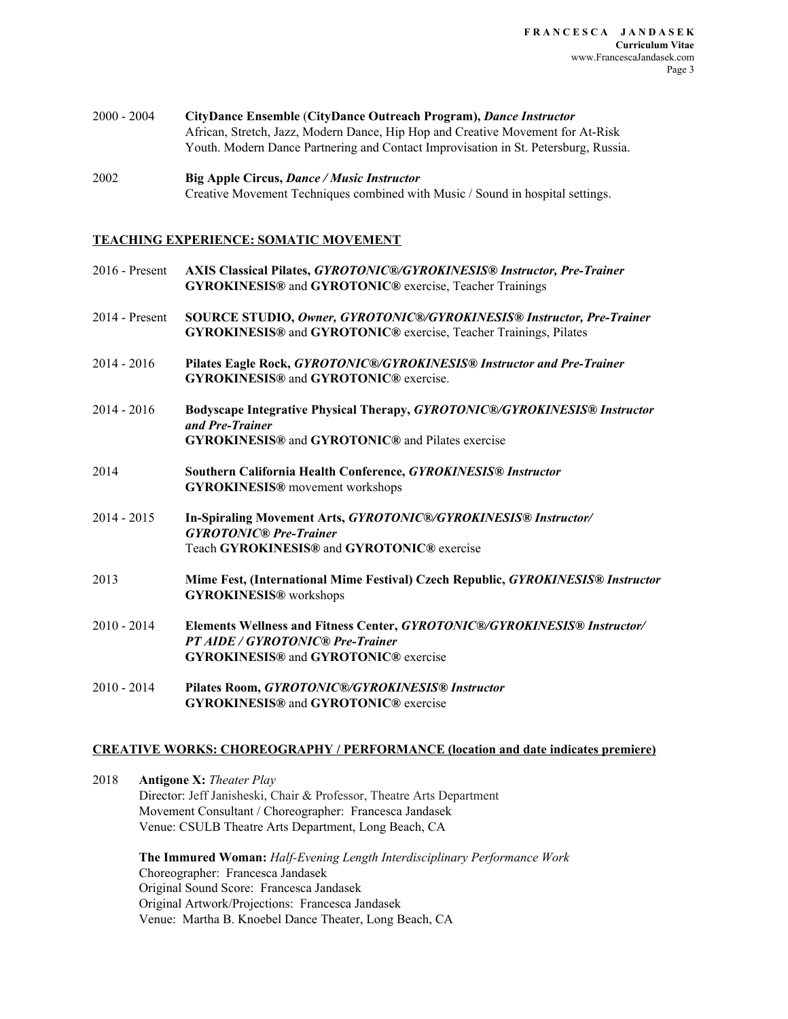| $2000 - 2004$ | CityDance Ensemble (CityDance Outreach Program), Dance Instructor                   |
|---------------|-------------------------------------------------------------------------------------|
|               | African, Stretch, Jazz, Modern Dance, Hip Hop and Creative Movement for At-Risk     |
|               | Youth. Modern Dance Partnering and Contact Improvisation in St. Petersburg, Russia. |

```
2002 Big Apple Circus, Dance / Music Instructor
   Creative Movement Techniques combined with Music / Sound in hospital settings.
```
#### **TEACHING EXPERIENCE: SOMATIC MOVEMENT**

| 2016 - Present | AXIS Classical Pilates, GYROTONIC®/GYROKINESIS® Instructor, Pre-Trainer<br><b>GYROKINESIS®</b> and <b>GYROTONIC®</b> exercise, Teacher Trainings                           |
|----------------|----------------------------------------------------------------------------------------------------------------------------------------------------------------------------|
| 2014 - Present | SOURCE STUDIO, Owner, GYROTONIC®/GYROKINESIS® Instructor, Pre-Trainer<br>GYROKINESIS® and GYROTONIC® exercise, Teacher Trainings, Pilates                                  |
| $2014 - 2016$  | Pilates Eagle Rock, GYROTONIC®/GYROKINESIS® Instructor and Pre-Trainer<br><b>GYROKINESIS®</b> and <b>GYROTONIC®</b> exercise.                                              |
| $2014 - 2016$  | Bodyscape Integrative Physical Therapy, GYROTONIC®/GYROKINESIS® Instructor<br>and Pre-Trainer<br><b>GYROKINESIS®</b> and <b>GYROTONIC®</b> and Pilates exercise            |
| 2014           | Southern California Health Conference, GYROKINESIS® Instructor<br><b>GYROKINESIS®</b> movement workshops                                                                   |
| $2014 - 2015$  | In-Spiraling Movement Arts, GYROTONIC®/GYROKINESIS® Instructor/<br><b>GYROTONIC®</b> Pre-Trainer<br>Teach GYROKINESIS® and GYROTONIC® exercise                             |
| 2013           | Mime Fest, (International Mime Festival) Czech Republic, GYROKINESIS® Instructor<br><b>GYROKINESIS®</b> workshops                                                          |
| $2010 - 2014$  | Elements Wellness and Fitness Center, GYROTONIC®/GYROKINESIS® Instructor/<br><b>PT AIDE / GYROTONIC® Pre-Trainer</b><br><b>GYROKINESIS®</b> and <b>GYROTONIC®</b> exercise |
| $2010 - 2014$  | Pilates Room, GYROTONIC®/GYROKINESIS® Instructor<br><b>GYROKINESIS®</b> and <b>GYROTONIC®</b> exercise                                                                     |

#### **CREATIVE WORKS: CHOREOGRAPHY / PERFORMANCE (location and date indicates premiere)**

2018 **Antigone X:** *Theater Play* Director: Jeff Janisheski, Chair & Professor, Theatre Arts Department Movement Consultant / Choreographer: Francesca Jandasek Venue: CSULB Theatre Arts Department, Long Beach, CA

> **The Immured Woman:** *Half-Evening Length Interdisciplinary Performance Work* Choreographer: Francesca Jandasek Original Sound Score: Francesca Jandasek Original Artwork/Projections: Francesca Jandasek Venue: Martha B. Knoebel Dance Theater, Long Beach, CA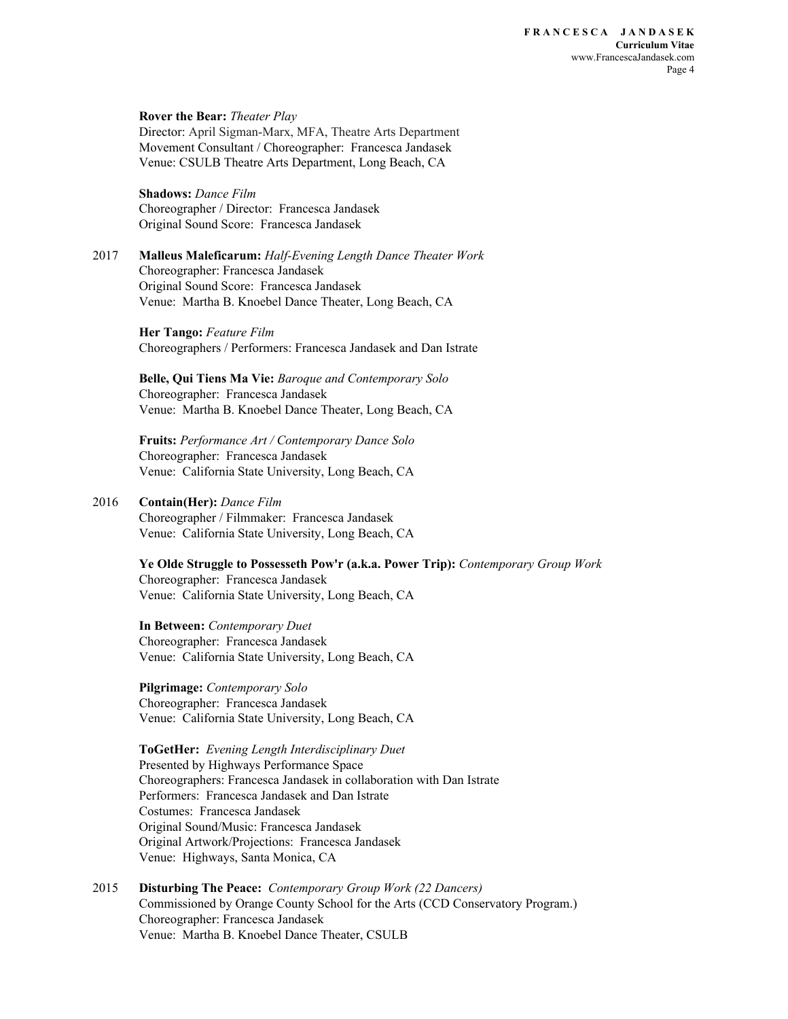#### **Rover the Bear:** *Theater Play* Director: April Sigman-Marx, MFA, Theatre Arts Department Movement Consultant / Choreographer: Francesca Jandasek Venue: CSULB Theatre Arts Department, Long Beach, CA

**Shadows:** *Dance Film* Choreographer / Director: Francesca Jandasek Original Sound Score: Francesca Jandasek

2017 **Malleus Maleficarum:** *Half-Evening Length Dance Theater Work* Choreographer: Francesca Jandasek Original Sound Score: Francesca Jandasek Venue: Martha B. Knoebel Dance Theater, Long Beach, CA

> **Her Tango:** *Feature Film* Choreographers / Performers: Francesca Jandasek and Dan Istrate

**Belle, Qui Tiens Ma Vie:** *Baroque and Contemporary Solo* Choreographer: Francesca Jandasek Venue: Martha B. Knoebel Dance Theater, Long Beach, CA

**Fruits:** *Performance Art / Contemporary Dance Solo* Choreographer: Francesca Jandasek Venue: California State University, Long Beach, CA

#### 2016 **Contain(Her):** *Dance Film*

Choreographer / Filmmaker: Francesca Jandasek Venue: California State University, Long Beach, CA

**Ye Olde Struggle to Possesseth Pow'r (a.k.a. Power Trip):** *Contemporary Group Work* Choreographer: Francesca Jandasek Venue: California State University, Long Beach, CA

**In Between:** *Contemporary Duet* Choreographer: Francesca Jandasek Venue: California State University, Long Beach, CA

**Pilgrimage:** *Contemporary Solo* Choreographer: Francesca Jandasek Venue: California State University, Long Beach, CA

# **ToGetHer:** *Evening Length Interdisciplinary Duet*

Presented by Highways Performance Space Choreographers: Francesca Jandasek in collaboration with Dan Istrate Performers: Francesca Jandasek and Dan Istrate Costumes: Francesca Jandasek Original Sound/Music: Francesca Jandasek Original Artwork/Projections: Francesca Jandasek Venue: Highways, Santa Monica, CA

2015 **Disturbing The Peace:** *Contemporary Group Work (22 Dancers)* Commissioned by Orange County School for the Arts (CCD Conservatory Program.) Choreographer: Francesca Jandasek Venue: Martha B. Knoebel Dance Theater, CSULB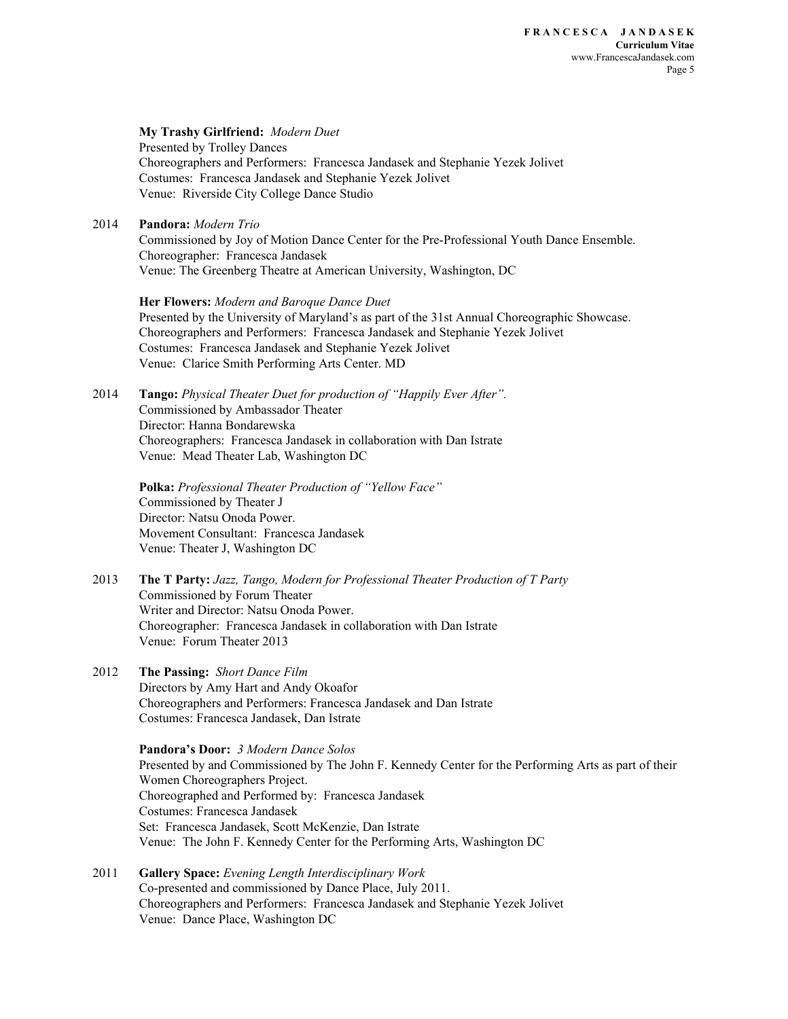**My Trashy Girlfriend:** *Modern Duet* Presented by Trolley Dances Choreographers and Performers: Francesca Jandasek and Stephanie Yezek Jolivet Costumes: Francesca Jandasek and Stephanie Yezek Jolivet Venue: Riverside City College Dance Studio

2014 **Pandora:** *Modern Trio*

Commissioned by Joy of Motion Dance Center for the Pre-Professional Youth Dance Ensemble. Choreographer: Francesca Jandasek Venue: The Greenberg Theatre at American University, Washington, DC

**Her Flowers:** *Modern and Baroque Dance Duet* Presented by the University of Maryland's as part of the 31st Annual Choreographic Showcase. Choreographers and Performers: Francesca Jandasek and Stephanie Yezek Jolivet Costumes: Francesca Jandasek and Stephanie Yezek Jolivet Venue: Clarice Smith Performing Arts Center. MD

2014 **Tango:** *Physical Theater Duet for production of "Happily Ever After".* Commissioned by Ambassador Theater Director: Hanna Bondarewska Choreographers: Francesca Jandasek in collaboration with Dan Istrate Venue: Mead Theater Lab, Washington DC

> **Polka:** *Professional Theater Production of "Yellow Face"* Commissioned by Theater J Director: Natsu Onoda Power. Movement Consultant: Francesca Jandasek Venue: Theater J, Washington DC

- 2013 **The T Party:** *Jazz, Tango, Modern for Professional Theater Production of T Party* Commissioned by Forum Theater Writer and Director: Natsu Onoda Power. Choreographer: Francesca Jandasek in collaboration with Dan Istrate Venue: Forum Theater 2013
- 2012 **The Passing:** *Short Dance Film* Directors by Amy Hart and Andy Okoafor Choreographers and Performers: Francesca Jandasek and Dan Istrate Costumes: Francesca Jandasek, Dan Istrate

**Pandora's Door:** *3 Modern Dance Solos* Presented by and Commissioned by The John F. Kennedy Center for the Performing Arts as part of their Women Choreographers Project. Choreographed and Performed by: Francesca Jandasek Costumes: Francesca Jandasek Set: Francesca Jandasek, Scott McKenzie, Dan Istrate Venue: The John F. Kennedy Center for the Performing Arts, Washington DC

2011 **Gallery Space:** *Evening Length Interdisciplinary Work* Co-presented and commissioned by Dance Place, July 2011. Choreographers and Performers: Francesca Jandasek and Stephanie Yezek Jolivet Venue: Dance Place, Washington DC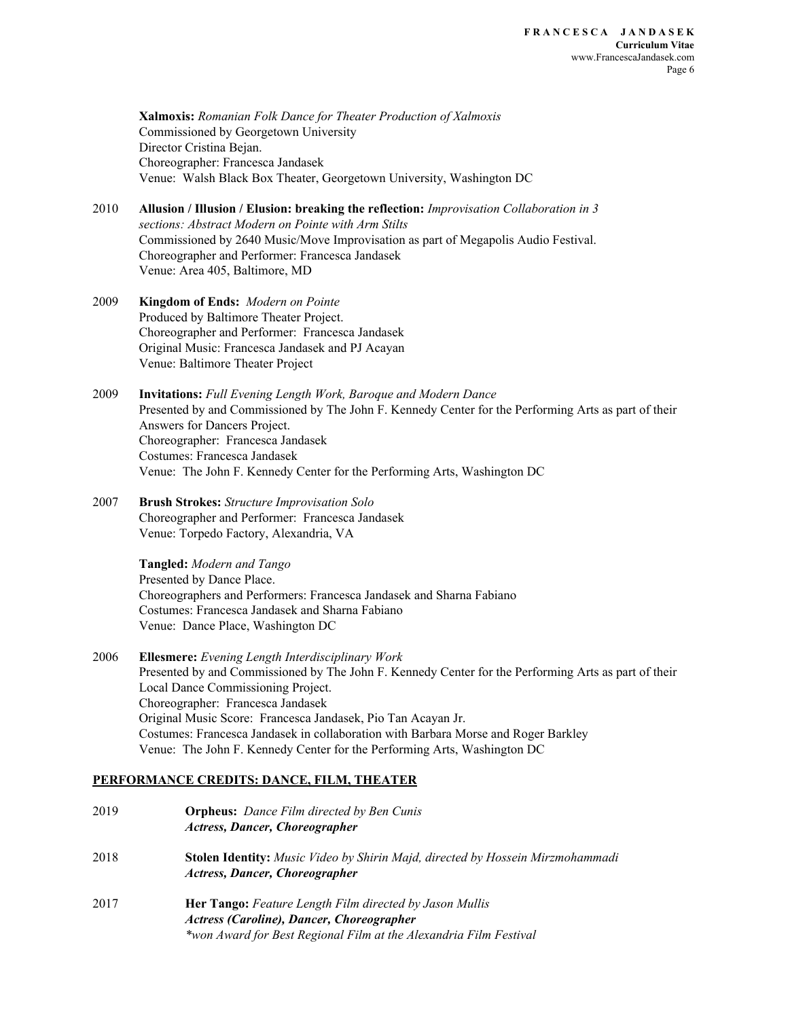**Xalmoxis:** *Romanian Folk Dance for Theater Production of Xalmoxis* Commissioned by Georgetown University Director Cristina Bejan. Choreographer: Francesca Jandasek Venue: Walsh Black Box Theater, Georgetown University, Washington DC

- 2010 **Allusion / Illusion / Elusion: breaking the reflection:** *Improvisation Collaboration in 3 sections: Abstract Modern on Pointe with Arm Stilts* Commissioned by 2640 Music/Move Improvisation as part of Megapolis Audio Festival. Choreographer and Performer: Francesca Jandasek Venue: Area 405, Baltimore, MD
- 2009 **Kingdom of Ends:** *Modern on Pointe* Produced by Baltimore Theater Project. Choreographer and Performer: Francesca Jandasek Original Music: Francesca Jandasek and PJ Acayan Venue: Baltimore Theater Project
- 2009 **Invitations:** *Full Evening Length Work, Baroque and Modern Dance* Presented by and Commissioned by The John F. Kennedy Center for the Performing Arts as part of their Answers for Dancers Project. Choreographer: Francesca Jandasek Costumes: Francesca Jandasek Venue: The John F. Kennedy Center for the Performing Arts, Washington DC
- 2007 **Brush Strokes:** *Structure Improvisation Solo* Choreographer and Performer: Francesca Jandasek Venue: Torpedo Factory, Alexandria, VA

**Tangled:** *Modern and Tango* Presented by Dance Place. Choreographers and Performers: Francesca Jandasek and Sharna Fabiano Costumes: Francesca Jandasek and Sharna Fabiano Venue: Dance Place, Washington DC

2006 **Ellesmere:** *Evening Length Interdisciplinary Work* Presented by and Commissioned by The John F. Kennedy Center for the Performing Arts as part of their Local Dance Commissioning Project. Choreographer: Francesca Jandasek Original Music Score: Francesca Jandasek, Pio Tan Acayan Jr. Costumes: Francesca Jandasek in collaboration with Barbara Morse and Roger Barkley Venue: The John F. Kennedy Center for the Performing Arts, Washington DC

#### **PERFORMANCE CREDITS: DANCE, FILM, THEATER**

2019 **Orpheus:** *Dance Film directed by Ben Cunis Actress, Dancer, Choreographer* 2018 **Stolen Identity:** *Music Video by Shirin Majd, directed by Hossein Mirzmohammadi Actress, Dancer, Choreographer* 2017 **Her Tango:** *Feature Length Film directed by Jason Mullis Actress (Caroline), Dancer, Choreographer \*won Award for Best Regional Film at the Alexandria Film Festival*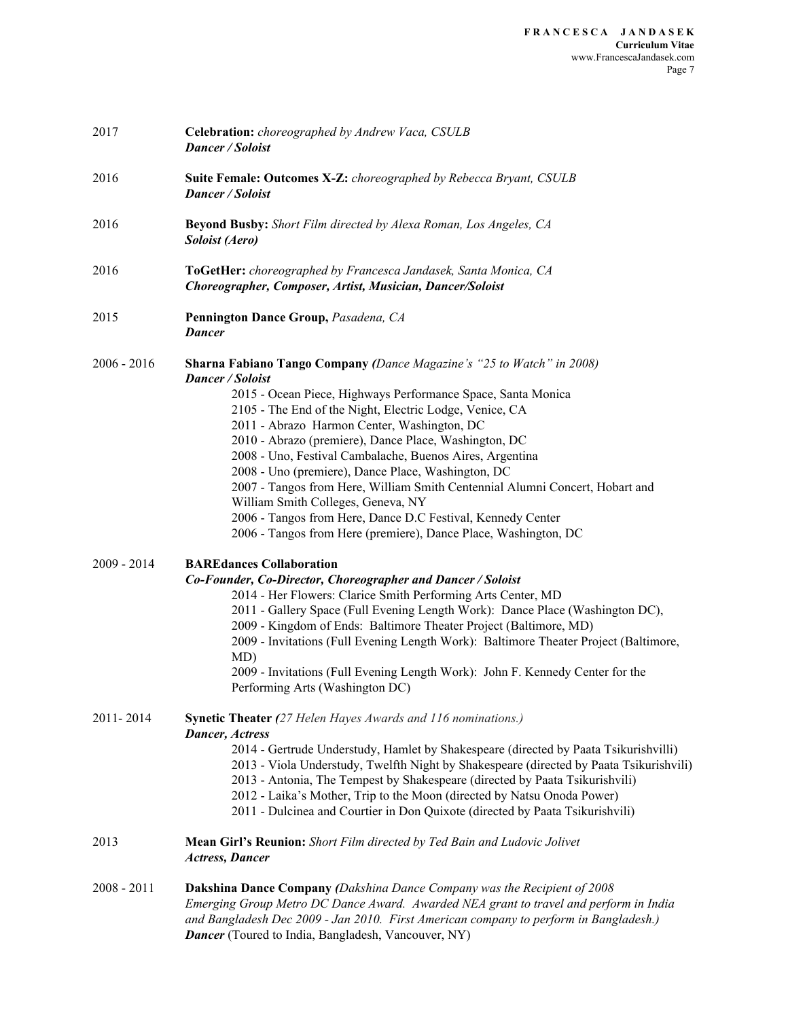| 2017          | Celebration: choreographed by Andrew Vaca, CSULB<br>Dancer / Soloist                                                                                                                                                                                                                                                                                                                                                                                                                                                                                                                                                                                                                                          |
|---------------|---------------------------------------------------------------------------------------------------------------------------------------------------------------------------------------------------------------------------------------------------------------------------------------------------------------------------------------------------------------------------------------------------------------------------------------------------------------------------------------------------------------------------------------------------------------------------------------------------------------------------------------------------------------------------------------------------------------|
| 2016          | Suite Female: Outcomes X-Z: choreographed by Rebecca Bryant, CSULB<br>Dancer / Soloist                                                                                                                                                                                                                                                                                                                                                                                                                                                                                                                                                                                                                        |
| 2016          | <b>Beyond Busby:</b> Short Film directed by Alexa Roman, Los Angeles, CA<br>Soloist (Aero)                                                                                                                                                                                                                                                                                                                                                                                                                                                                                                                                                                                                                    |
| 2016          | ToGetHer: choreographed by Francesca Jandasek, Santa Monica, CA<br>Choreographer, Composer, Artist, Musician, Dancer/Soloist                                                                                                                                                                                                                                                                                                                                                                                                                                                                                                                                                                                  |
| 2015          | Pennington Dance Group, Pasadena, CA<br><b>Dancer</b>                                                                                                                                                                                                                                                                                                                                                                                                                                                                                                                                                                                                                                                         |
| $2006 - 2016$ | <b>Sharna Fabiano Tango Company (Dance Magazine's "25 to Watch" in 2008)</b><br>Dancer / Soloist<br>2015 - Ocean Piece, Highways Performance Space, Santa Monica<br>2105 - The End of the Night, Electric Lodge, Venice, CA<br>2011 - Abrazo Harmon Center, Washington, DC<br>2010 - Abrazo (premiere), Dance Place, Washington, DC<br>2008 - Uno, Festival Cambalache, Buenos Aires, Argentina<br>2008 - Uno (premiere), Dance Place, Washington, DC<br>2007 - Tangos from Here, William Smith Centennial Alumni Concert, Hobart and<br>William Smith Colleges, Geneva, NY<br>2006 - Tangos from Here, Dance D.C Festival, Kennedy Center<br>2006 - Tangos from Here (premiere), Dance Place, Washington, DC |
| $2009 - 2014$ | <b>BAREdances Collaboration</b><br>Co-Founder, Co-Director, Choreographer and Dancer / Soloist<br>2014 - Her Flowers: Clarice Smith Performing Arts Center, MD<br>2011 - Gallery Space (Full Evening Length Work): Dance Place (Washington DC),<br>2009 - Kingdom of Ends: Baltimore Theater Project (Baltimore, MD)<br>2009 - Invitations (Full Evening Length Work): Baltimore Theater Project (Baltimore,<br>MD)<br>2009 - Invitations (Full Evening Length Work): John F. Kennedy Center for the<br>Performing Arts (Washington DC)                                                                                                                                                                       |
| 2011-2014     | <b>Synetic Theater</b> (27 Helen Hayes Awards and 116 nominations.)<br><b>Dancer</b> , Actress<br>2014 - Gertrude Understudy, Hamlet by Shakespeare (directed by Paata Tsikurishvilli)<br>2013 - Viola Understudy, Twelfth Night by Shakespeare (directed by Paata Tsikurishvili)<br>2013 - Antonia, The Tempest by Shakespeare (directed by Paata Tsikurishvili)<br>2012 - Laika's Mother, Trip to the Moon (directed by Natsu Onoda Power)<br>2011 - Dulcinea and Courtier in Don Quixote (directed by Paata Tsikurishvili)                                                                                                                                                                                 |
| 2013          | Mean Girl's Reunion: Short Film directed by Ted Bain and Ludovic Jolivet<br><b>Actress, Dancer</b>                                                                                                                                                                                                                                                                                                                                                                                                                                                                                                                                                                                                            |
| $2008 - 2011$ | <b>Dakshina Dance Company (Dakshina Dance Company was the Recipient of 2008</b><br>Emerging Group Metro DC Dance Award. Awarded NEA grant to travel and perform in India<br>and Bangladesh Dec 2009 - Jan 2010. First American company to perform in Bangladesh.)<br><b>Dancer</b> (Toured to India, Bangladesh, Vancouver, NY)                                                                                                                                                                                                                                                                                                                                                                               |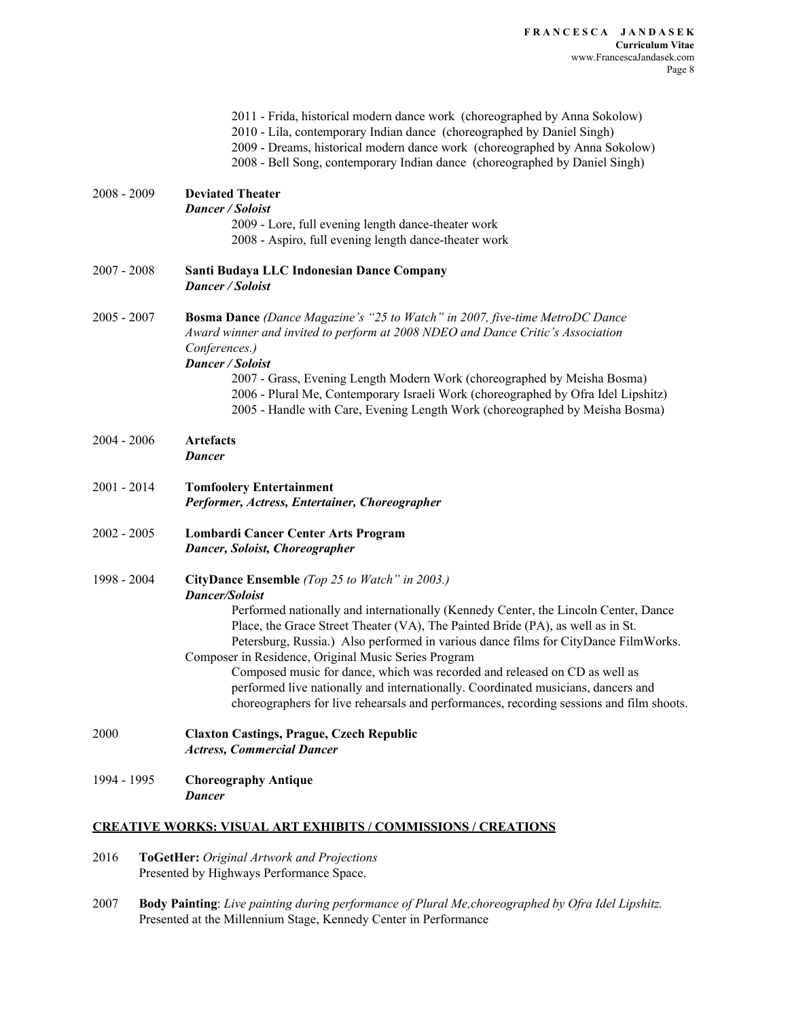|               | 2011 - Frida, historical modern dance work (choreographed by Anna Sokolow)<br>2010 - Lila, contemporary Indian dance (choreographed by Daniel Singh)<br>2009 - Dreams, historical modern dance work (choreographed by Anna Sokolow)<br>2008 - Bell Song, contemporary Indian dance (choreographed by Daniel Singh)                                                                                                                                                                                                                                                                                                                                              |
|---------------|-----------------------------------------------------------------------------------------------------------------------------------------------------------------------------------------------------------------------------------------------------------------------------------------------------------------------------------------------------------------------------------------------------------------------------------------------------------------------------------------------------------------------------------------------------------------------------------------------------------------------------------------------------------------|
| $2008 - 2009$ | <b>Deviated Theater</b><br>Dancer / Soloist<br>2009 - Lore, full evening length dance-theater work<br>2008 - Aspiro, full evening length dance-theater work                                                                                                                                                                                                                                                                                                                                                                                                                                                                                                     |
| $2007 - 2008$ | Santi Budaya LLC Indonesian Dance Company<br><b>Dancer / Soloist</b>                                                                                                                                                                                                                                                                                                                                                                                                                                                                                                                                                                                            |
| $2005 - 2007$ | <b>Bosma Dance</b> (Dance Magazine's "25 to Watch" in 2007, five-time MetroDC Dance<br>Award winner and invited to perform at 2008 NDEO and Dance Critic's Association<br>Conferences.)<br>Dancer / Soloist<br>2007 - Grass, Evening Length Modern Work (choreographed by Meisha Bosma)<br>2006 - Plural Me, Contemporary Israeli Work (choreographed by Ofra Idel Lipshitz)<br>2005 - Handle with Care, Evening Length Work (choreographed by Meisha Bosma)                                                                                                                                                                                                    |
| $2004 - 2006$ | <b>Artefacts</b><br><b>Dancer</b>                                                                                                                                                                                                                                                                                                                                                                                                                                                                                                                                                                                                                               |
| 2001 - 2014   | <b>Tomfoolery Entertainment</b><br>Performer, Actress, Entertainer, Choreographer                                                                                                                                                                                                                                                                                                                                                                                                                                                                                                                                                                               |
| 2002 - 2005   | Lombardi Cancer Center Arts Program<br><b>Dancer, Soloist, Choreographer</b>                                                                                                                                                                                                                                                                                                                                                                                                                                                                                                                                                                                    |
| 1998 - 2004   | CityDance Ensemble (Top 25 to Watch" in 2003.)<br><b>Dancer/Soloist</b><br>Performed nationally and internationally (Kennedy Center, the Lincoln Center, Dance<br>Place, the Grace Street Theater (VA), The Painted Bride (PA), as well as in St.<br>Petersburg, Russia.) Also performed in various dance films for CityDance FilmWorks.<br>Composer in Residence, Original Music Series Program<br>Composed music for dance, which was recorded and released on CD as well as<br>performed live nationally and internationally. Coordinated musicians, dancers and<br>choreographers for live rehearsals and performances, recording sessions and film shoots. |
| 2000          | <b>Claxton Castings, Prague, Czech Republic</b><br><b>Actress, Commercial Dancer</b>                                                                                                                                                                                                                                                                                                                                                                                                                                                                                                                                                                            |
| 1994 - 1995   | <b>Choreography Antique</b><br><b>Dancer</b>                                                                                                                                                                                                                                                                                                                                                                                                                                                                                                                                                                                                                    |
|               | <b>CREATIVE WORKS: VISUAL ART EXHIBITS / COMMISSIONS / CREATIONS</b>                                                                                                                                                                                                                                                                                                                                                                                                                                                                                                                                                                                            |

- 2016 **ToGetHer:** *Original Artwork and Projections* Presented by Highways Performance Space.
- 2007 **Body Painting**: *Live painting during performance of Plural Me,choreographed by Ofra Idel Lipshitz.* Presented at the Millennium Stage, Kennedy Center in Performance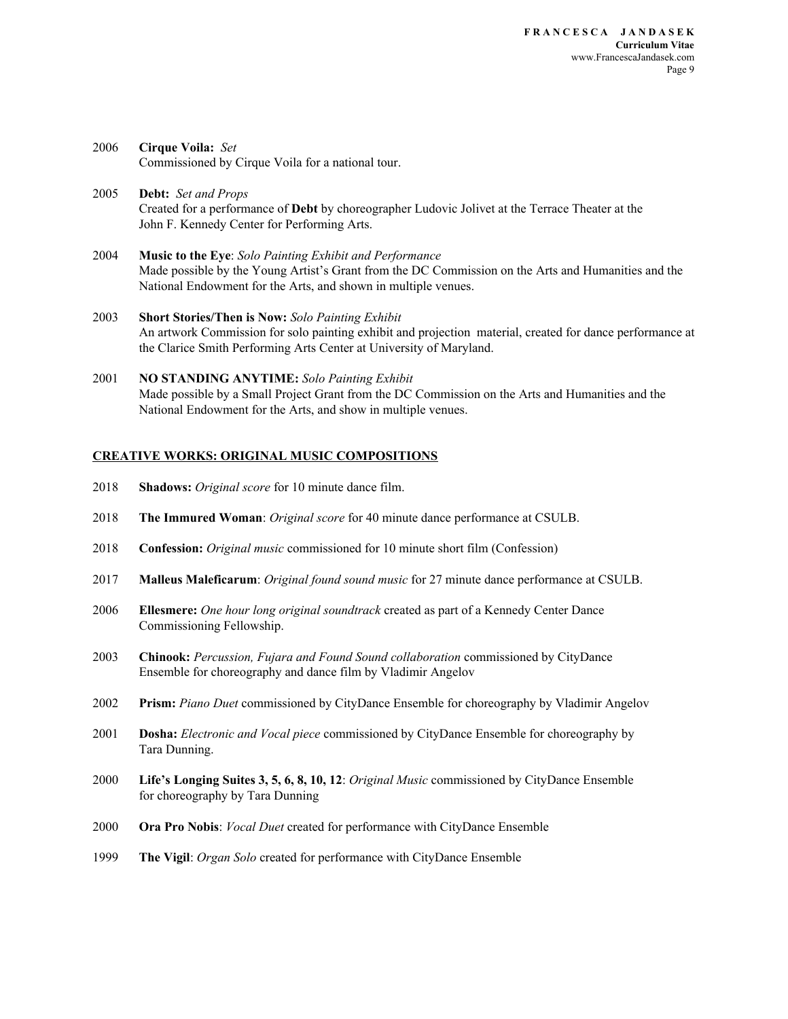- 2006 **Cirque Voila:** *Set* Commissioned by Cirque Voila for a national tour.
- 2005 **Debt:** *Set and Props* Created for a performance of **Debt** by choreographer Ludovic Jolivet at the Terrace Theater at the John F. Kennedy Center for Performing Arts.
- 2004 **Music to the Eye**: *Solo Painting Exhibit and Performance* Made possible by the Young Artist's Grant from the DC Commission on the Arts and Humanities and the National Endowment for the Arts, and shown in multiple venues.
- 2003 **Short Stories/Then is Now:** *Solo Painting Exhibit* An artwork Commission for solo painting exhibit and projection material, created for dance performance at the Clarice Smith Performing Arts Center at University of Maryland.
- 2001 **NO STANDING ANYTIME:** *Solo Painting Exhibit* Made possible by a Small Project Grant from the DC Commission on the Arts and Humanities and the National Endowment for the Arts, and show in multiple venues.

#### **CREATIVE WORKS: ORIGINAL MUSIC COMPOSITIONS**

- 2018 **Shadows:** *Original score* for 10 minute dance film.
- 2018 **The Immured Woman**: *Original score* for 40 minute dance performance at CSULB.
- 2018 **Confession:** *Original music* commissioned for 10 minute short film (Confession)
- 2017 **Malleus Maleficarum**: *Original found sound music* for 27 minute dance performance at CSULB.
- 2006 **Ellesmere:** *One hour long original soundtrack* created as part of a Kennedy Center Dance Commissioning Fellowship.
- 2003 **Chinook:** *Percussion, Fujara and Found Sound collaboration* commissioned by CityDance Ensemble for choreography and dance film by Vladimir Angelov
- 2002 **Prism:** *Piano Duet* commissioned by CityDance Ensemble for choreography by Vladimir Angelov
- 2001 **Dosha:** *Electronic and Vocal piece* commissioned by CityDance Ensemble for choreography by Tara Dunning.
- 2000 **Life's Longing Suites 3, 5, 6, 8, 10, 12**: *Original Music* commissioned by CityDance Ensemble for choreography by Tara Dunning
- 2000 **Ora Pro Nobis**: *Vocal Duet* created for performance with CityDance Ensemble
- 1999 **The Vigil**: *Organ Solo* created for performance with CityDance Ensemble